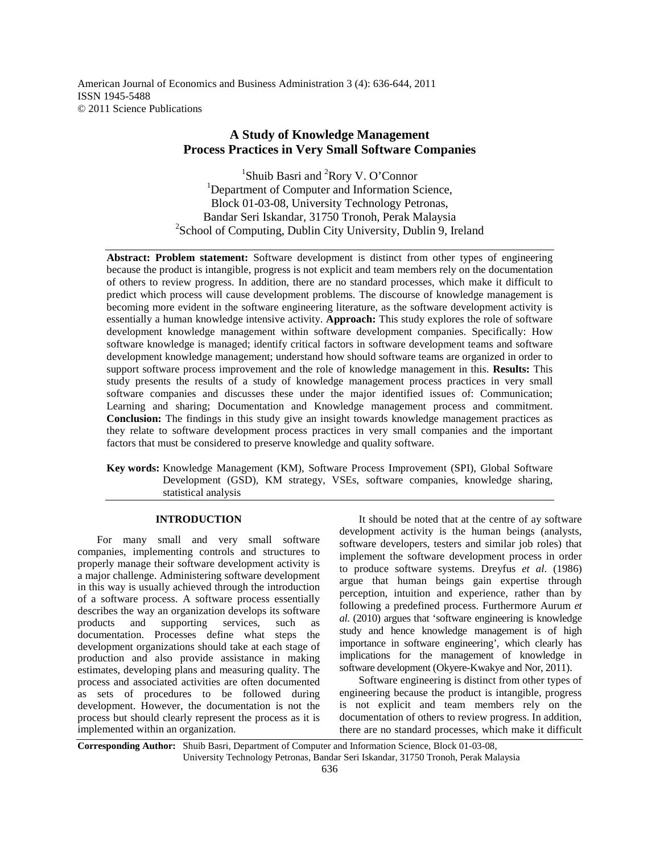American Journal of Economics and Business Administration 3 (4): 636-644, 2011 ISSN 1945-5488 © 2011 Science Publications

# **A Study of Knowledge Management Process Practices in Very Small Software Companies**

<sup>1</sup>Shuib Basri and <sup>2</sup>Rory V. O'Connor <sup>1</sup>Department of Computer and Information Science, Block 01-03-08, University Technology Petronas, Bandar Seri Iskandar, 31750 Tronoh, Perak Malaysia <sup>2</sup>School of Computing, Dublin City University, Dublin 9, Ireland

**Abstract: Problem statement:** Software development is distinct from other types of engineering because the product is intangible, progress is not explicit and team members rely on the documentation of others to review progress. In addition, there are no standard processes, which make it difficult to predict which process will cause development problems. The discourse of knowledge management is becoming more evident in the software engineering literature, as the software development activity is essentially a human knowledge intensive activity. **Approach:** This study explores the role of software development knowledge management within software development companies. Specifically: How software knowledge is managed; identify critical factors in software development teams and software development knowledge management; understand how should software teams are organized in order to support software process improvement and the role of knowledge management in this. **Results:** This study presents the results of a study of knowledge management process practices in very small software companies and discusses these under the major identified issues of: Communication; Learning and sharing; Documentation and Knowledge management process and commitment. **Conclusion:** The findings in this study give an insight towards knowledge management practices as they relate to software development process practices in very small companies and the important factors that must be considered to preserve knowledge and quality software.

**Key words:** Knowledge Management (KM), Software Process Improvement (SPI), Global Software Development (GSD), KM strategy, VSEs, software companies, knowledge sharing, statistical analysis

# **INTRODUCTION**

 For many small and very small software companies, implementing controls and structures to properly manage their software development activity is a major challenge. Administering software development in this way is usually achieved through the introduction of a software process. A software process essentially describes the way an organization develops its software products and supporting services, such as documentation. Processes define what steps the development organizations should take at each stage of production and also provide assistance in making estimates, developing plans and measuring quality. The process and associated activities are often documented as sets of procedures to be followed during development. However, the documentation is not the process but should clearly represent the process as it is implemented within an organization.

It should be noted that at the centre of ay software development activity is the human beings (analysts, software developers, testers and similar job roles) that implement the software development process in order to produce software systems. Dreyfus *et al*. (1986) argue that human beings gain expertise through perception, intuition and experience, rather than by following a predefined process. Furthermore Aurum *et al*. (2010) argues that 'software engineering is knowledge study and hence knowledge management is of high importance in software engineering', which clearly has implications for the management of knowledge in software development (Okyere-Kwakye and Nor, 2011).

 Software engineering is distinct from other types of engineering because the product is intangible, progress is not explicit and team members rely on the documentation of others to review progress. In addition, there are no standard processes, which make it difficult

**Corresponding Author:** Shuib Basri, Department of Computer and Information Science, Block 01-03-08, University Technology Petronas, Bandar Seri Iskandar, 31750 Tronoh, Perak Malaysia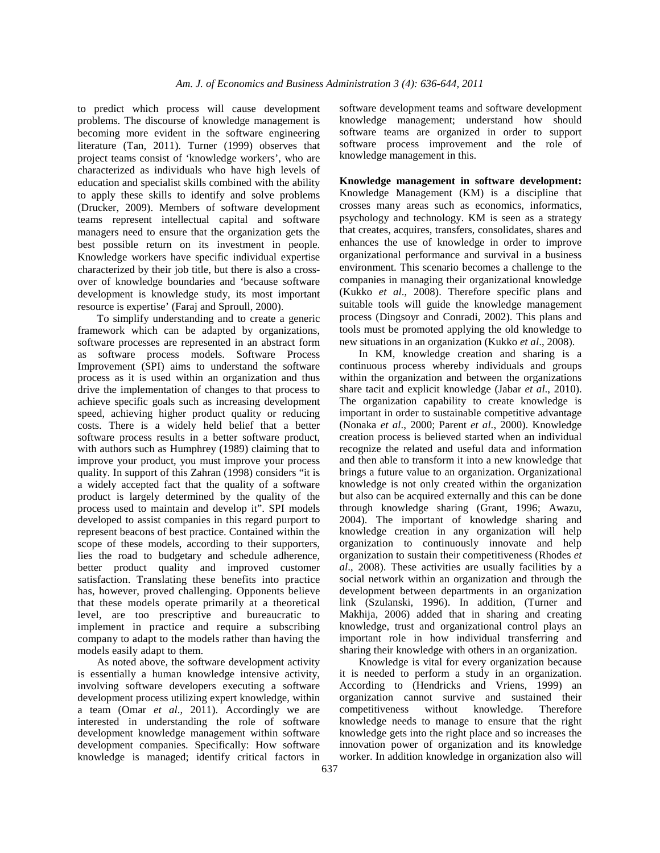to predict which process will cause development problems. The discourse of knowledge management is becoming more evident in the software engineering literature (Tan, 2011). Turner (1999) observes that project teams consist of 'knowledge workers', who are characterized as individuals who have high levels of education and specialist skills combined with the ability to apply these skills to identify and solve problems (Drucker, 2009). Members of software development teams represent intellectual capital and software managers need to ensure that the organization gets the best possible return on its investment in people. Knowledge workers have specific individual expertise characterized by their job title, but there is also a crossover of knowledge boundaries and 'because software development is knowledge study, its most important resource is expertise' (Faraj and Sproull, 2000).

 To simplify understanding and to create a generic framework which can be adapted by organizations, software processes are represented in an abstract form as software process models. Software Process Improvement (SPI) aims to understand the software process as it is used within an organization and thus drive the implementation of changes to that process to achieve specific goals such as increasing development speed, achieving higher product quality or reducing costs. There is a widely held belief that a better software process results in a better software product, with authors such as Humphrey (1989) claiming that to improve your product, you must improve your process quality. In support of this Zahran (1998) considers "it is a widely accepted fact that the quality of a software product is largely determined by the quality of the process used to maintain and develop it". SPI models developed to assist companies in this regard purport to represent beacons of best practice. Contained within the scope of these models, according to their supporters, lies the road to budgetary and schedule adherence, better product quality and improved customer satisfaction. Translating these benefits into practice has, however, proved challenging. Opponents believe that these models operate primarily at a theoretical level, are too prescriptive and bureaucratic to implement in practice and require a subscribing company to adapt to the models rather than having the models easily adapt to them.

 As noted above, the software development activity is essentially a human knowledge intensive activity, involving software developers executing a software development process utilizing expert knowledge, within a team (Omar *et al*., 2011). Accordingly we are interested in understanding the role of software development knowledge management within software development companies. Specifically: How software knowledge is managed; identify critical factors in

software development teams and software development knowledge management; understand how should software teams are organized in order to support software process improvement and the role of knowledge management in this.

**Knowledge management in software development:**  Knowledge Management (KM) is a discipline that crosses many areas such as economics, informatics, psychology and technology. KM is seen as a strategy that creates, acquires, transfers, consolidates, shares and enhances the use of knowledge in order to improve organizational performance and survival in a business environment. This scenario becomes a challenge to the companies in managing their organizational knowledge (Kukko *et al*., 2008). Therefore specific plans and suitable tools will guide the knowledge management process (Dingsoyr and Conradi, 2002). This plans and tools must be promoted applying the old knowledge to new situations in an organization (Kukko *et al*., 2008).

 In KM, knowledge creation and sharing is a continuous process whereby individuals and groups within the organization and between the organizations share tacit and explicit knowledge (Jabar *et al*., 2010). The organization capability to create knowledge is important in order to sustainable competitive advantage (Nonaka *et al*., 2000; Parent *et al*., 2000). Knowledge creation process is believed started when an individual recognize the related and useful data and information and then able to transform it into a new knowledge that brings a future value to an organization. Organizational knowledge is not only created within the organization but also can be acquired externally and this can be done through knowledge sharing (Grant, 1996; Awazu, 2004). The important of knowledge sharing and knowledge creation in any organization will help organization to continuously innovate and help organization to sustain their competitiveness (Rhodes *et al*., 2008). These activities are usually facilities by a social network within an organization and through the development between departments in an organization link (Szulanski, 1996). In addition, (Turner and Makhija, 2006) added that in sharing and creating knowledge, trust and organizational control plays an important role in how individual transferring and sharing their knowledge with others in an organization.

 Knowledge is vital for every organization because it is needed to perform a study in an organization. According to (Hendricks and Vriens, 1999) an organization cannot survive and sustained their competitiveness without knowledge. Therefore knowledge needs to manage to ensure that the right knowledge gets into the right place and so increases the innovation power of organization and its knowledge worker. In addition knowledge in organization also will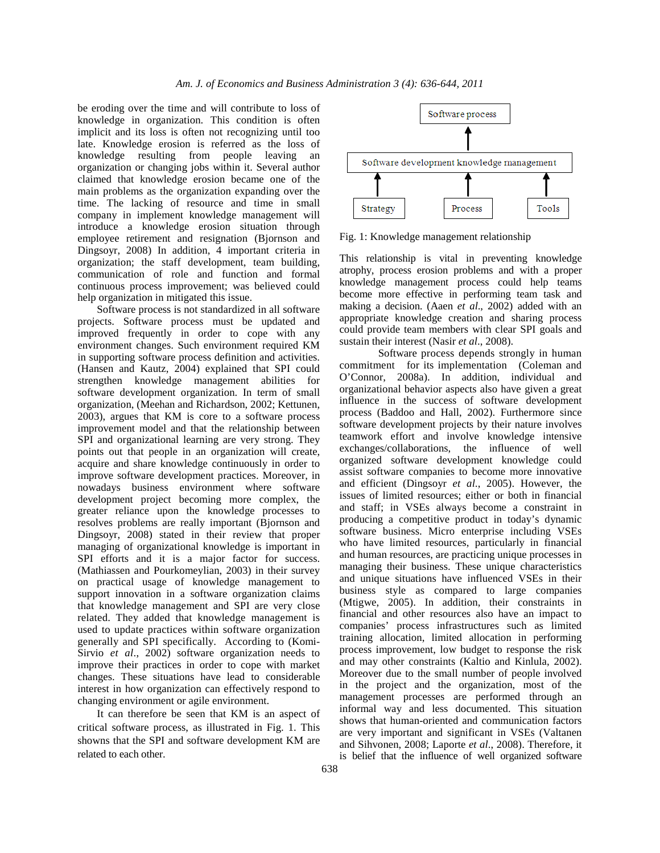be eroding over the time and will contribute to loss of knowledge in organization. This condition is often implicit and its loss is often not recognizing until too late. Knowledge erosion is referred as the loss of knowledge resulting from people leaving an organization or changing jobs within it. Several author claimed that knowledge erosion became one of the main problems as the organization expanding over the time. The lacking of resource and time in small company in implement knowledge management will introduce a knowledge erosion situation through employee retirement and resignation (Bjornson and Dingsoyr, 2008) In addition, 4 important criteria in organization; the staff development, team building, communication of role and function and formal continuous process improvement; was believed could help organization in mitigated this issue.

 Software process is not standardized in all software projects. Software process must be updated and improved frequently in order to cope with any environment changes. Such environment required KM in supporting software process definition and activities. (Hansen and Kautz, 2004) explained that SPI could strengthen knowledge management abilities for software development organization. In term of small organization, (Meehan and Richardson, 2002; Kettunen, 2003), argues that KM is core to a software process improvement model and that the relationship between SPI and organizational learning are very strong. They points out that people in an organization will create, acquire and share knowledge continuously in order to improve software development practices. Moreover, in nowadays business environment where software development project becoming more complex, the greater reliance upon the knowledge processes to resolves problems are really important (Bjornson and Dingsoyr, 2008) stated in their review that proper managing of organizational knowledge is important in SPI efforts and it is a major factor for success. (Mathiassen and Pourkomeylian, 2003) in their survey on practical usage of knowledge management to support innovation in a software organization claims that knowledge management and SPI are very close related. They added that knowledge management is used to update practices within software organization generally and SPI specifically. According to (Komi-Sirvio *et al*., 2002) software organization needs to improve their practices in order to cope with market changes. These situations have lead to considerable interest in how organization can effectively respond to changing environment or agile environment.

 It can therefore be seen that KM is an aspect of critical software process, as illustrated in Fig. 1. This showns that the SPI and software development KM are related to each other.



Fig. 1: Knowledge management relationship

This relationship is vital in preventing knowledge atrophy, process erosion problems and with a proper knowledge management process could help teams become more effective in performing team task and making a decision. (Aaen *et al*., 2002) added with an appropriate knowledge creation and sharing process could provide team members with clear SPI goals and sustain their interest (Nasir *et al*., 2008).

 Software process depends strongly in human commitment for its implementation (Coleman and O'Connor, 2008a). In addition, individual and organizational behavior aspects also have given a great influence in the success of software development process (Baddoo and Hall, 2002). Furthermore since software development projects by their nature involves teamwork effort and involve knowledge intensive exchanges/collaborations, the influence of well organized software development knowledge could assist software companies to become more innovative and efficient (Dingsoyr *et al*., 2005). However, the issues of limited resources; either or both in financial and staff; in VSEs always become a constraint in producing a competitive product in today's dynamic software business. Micro enterprise including VSEs who have limited resources, particularly in financial and human resources, are practicing unique processes in managing their business. These unique characteristics and unique situations have influenced VSEs in their business style as compared to large companies (Mtigwe, 2005). In addition, their constraints in financial and other resources also have an impact to companies' process infrastructures such as limited training allocation, limited allocation in performing process improvement, low budget to response the risk and may other constraints (Kaltio and Kinlula, 2002). Moreover due to the small number of people involved in the project and the organization, most of the management processes are performed through an informal way and less documented. This situation shows that human-oriented and communication factors are very important and significant in VSEs (Valtanen and Sihvonen, 2008; Laporte *et al*., 2008). Therefore, it is belief that the influence of well organized software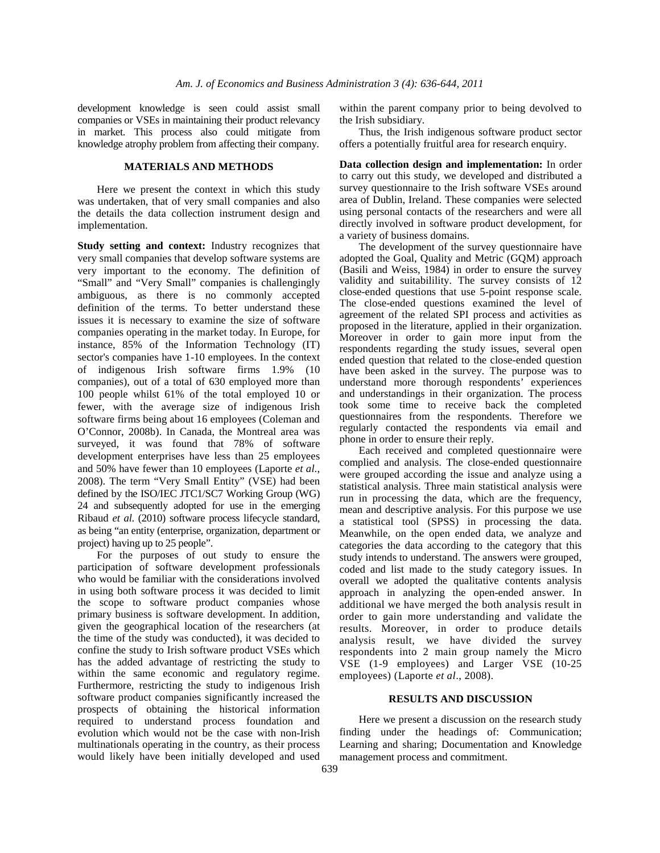development knowledge is seen could assist small companies or VSEs in maintaining their product relevancy in market. This process also could mitigate from knowledge atrophy problem from affecting their company.

## **MATERIALS AND METHODS**

 Here we present the context in which this study was undertaken, that of very small companies and also the details the data collection instrument design and implementation.

**Study setting and context:** Industry recognizes that very small companies that develop software systems are very important to the economy. The definition of "Small" and "Very Small" companies is challengingly ambiguous, as there is no commonly accepted definition of the terms. To better understand these issues it is necessary to examine the size of software companies operating in the market today. In Europe, for instance, 85% of the Information Technology (IT) sector's companies have 1-10 employees. In the context of indigenous Irish software firms 1.9% (10 companies), out of a total of 630 employed more than 100 people whilst 61% of the total employed 10 or fewer, with the average size of indigenous Irish software firms being about 16 employees (Coleman and O'Connor, 2008b). In Canada, the Montreal area was surveyed, it was found that 78% of software development enterprises have less than 25 employees and 50% have fewer than 10 employees (Laporte *et al*., 2008). The term "Very Small Entity" (VSE) had been defined by the ISO/IEC JTC1/SC7 Working Group (WG) 24 and subsequently adopted for use in the emerging Ribaud *et al*. (2010) software process lifecycle standard, as being "an entity (enterprise, organization, department or project) having up to 25 people".

 For the purposes of out study to ensure the participation of software development professionals who would be familiar with the considerations involved in using both software process it was decided to limit the scope to software product companies whose primary business is software development. In addition, given the geographical location of the researchers (at the time of the study was conducted), it was decided to confine the study to Irish software product VSEs which has the added advantage of restricting the study to within the same economic and regulatory regime. Furthermore, restricting the study to indigenous Irish software product companies significantly increased the prospects of obtaining the historical information required to understand process foundation and evolution which would not be the case with non-Irish multinationals operating in the country, as their process would likely have been initially developed and used

within the parent company prior to being devolved to the Irish subsidiary.

 Thus, the Irish indigenous software product sector offers a potentially fruitful area for research enquiry.

**Data collection design and implementation:** In order to carry out this study, we developed and distributed a survey questionnaire to the Irish software VSEs around area of Dublin, Ireland. These companies were selected using personal contacts of the researchers and were all directly involved in software product development, for a variety of business domains.

 The development of the survey questionnaire have adopted the Goal, Quality and Metric (GQM) approach (Basili and Weiss, 1984) in order to ensure the survey validity and suitabilility. The survey consists of 12 close-ended questions that use 5-point response scale. The close-ended questions examined the level of agreement of the related SPI process and activities as proposed in the literature, applied in their organization. Moreover in order to gain more input from the respondents regarding the study issues, several open ended question that related to the close-ended question have been asked in the survey. The purpose was to understand more thorough respondents' experiences and understandings in their organization. The process took some time to receive back the completed questionnaires from the respondents. Therefore we regularly contacted the respondents via email and phone in order to ensure their reply.

 Each received and completed questionnaire were complied and analysis. The close-ended questionnaire were grouped according the issue and analyze using a statistical analysis. Three main statistical analysis were run in processing the data, which are the frequency, mean and descriptive analysis. For this purpose we use a statistical tool (SPSS) in processing the data. Meanwhile, on the open ended data, we analyze and categories the data according to the category that this study intends to understand. The answers were grouped, coded and list made to the study category issues. In overall we adopted the qualitative contents analysis approach in analyzing the open-ended answer. In additional we have merged the both analysis result in order to gain more understanding and validate the results. Moreover, in order to produce details analysis result, we have divided the survey respondents into 2 main group namely the Micro VSE (1-9 employees) and Larger VSE (10-25 employees) (Laporte *et al*., 2008).

### **RESULTS AND DISCUSSION**

 Here we present a discussion on the research study finding under the headings of: Communication; Learning and sharing; Documentation and Knowledge management process and commitment.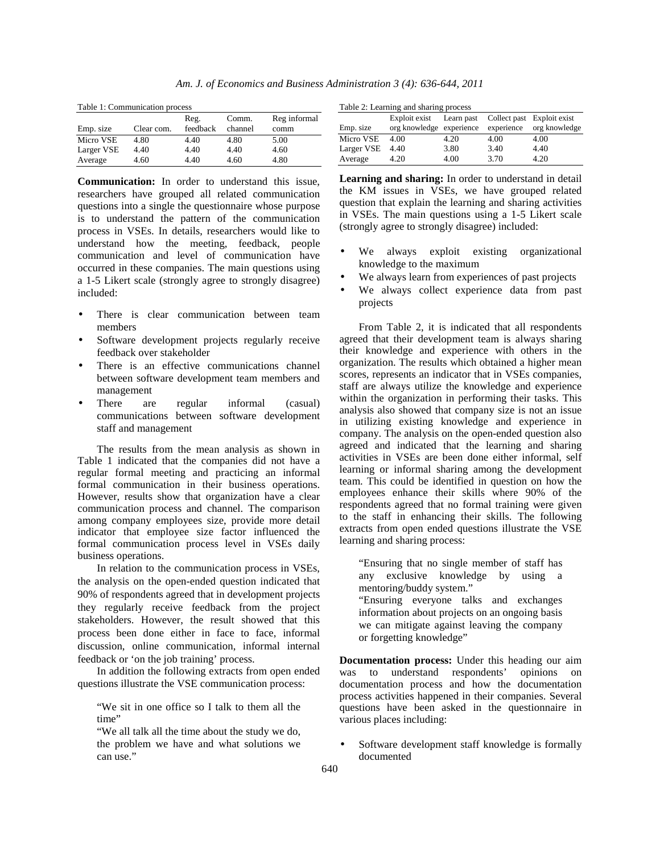|  |  |  | Am. J. of Economics and Business Administration 3 (4): 636-644, 2011 |  |  |  |
|--|--|--|----------------------------------------------------------------------|--|--|--|
|--|--|--|----------------------------------------------------------------------|--|--|--|

| Table 1. Communication process |            |          |         |              |  |  |
|--------------------------------|------------|----------|---------|--------------|--|--|
|                                |            | Reg.     | Comm.   | Reg informal |  |  |
| Emp. size                      | Clear com. | feedback | channel | comm         |  |  |
| Micro VSE                      | 4.80       | 4.40     | 4.80    | 5.00         |  |  |
| Larger VSE                     | 4.40       | 4.40     | 4.40    | 4.60         |  |  |
| Average                        | 4.60       | 4.40     | 4.60    | 4.80         |  |  |

Table 1: Communication process

**Communication:** In order to understand this issue, researchers have grouped all related communication questions into a single the questionnaire whose purpose is to understand the pattern of the communication process in VSEs. In details, researchers would like to understand how the meeting, feedback, people communication and level of communication have occurred in these companies. The main questions using a 1-5 Likert scale (strongly agree to strongly disagree) included:

- There is clear communication between team members
- Software development projects regularly receive feedback over stakeholder
- There is an effective communications channel between software development team members and management
- There are regular informal (casual) communications between software development staff and management

 The results from the mean analysis as shown in Table 1 indicated that the companies did not have a regular formal meeting and practicing an informal formal communication in their business operations. However, results show that organization have a clear communication process and channel. The comparison among company employees size, provide more detail indicator that employee size factor influenced the formal communication process level in VSEs daily business operations.

 In relation to the communication process in VSEs, the analysis on the open-ended question indicated that 90% of respondents agreed that in development projects they regularly receive feedback from the project stakeholders. However, the result showed that this process been done either in face to face, informal discussion, online communication, informal internal feedback or 'on the job training' process.

 In addition the following extracts from open ended questions illustrate the VSE communication process:

"We sit in one office so I talk to them all the time"

"We all talk all the time about the study we do, the problem we have and what solutions we can use."

| racio en Bearning and sharing process |                                                                                 |      |      |                          |  |  |
|---------------------------------------|---------------------------------------------------------------------------------|------|------|--------------------------|--|--|
| Emp. size                             | Exploit exist Learn past Collect past Exploit exist<br>org knowledge experience |      |      | experience org knowledge |  |  |
| Micro VSE                             | 4.00                                                                            | 4.20 | 4.00 | 4.00                     |  |  |
| Larger VSE                            | -4.40                                                                           | 3.80 | 3.40 | 4.40                     |  |  |
| Average                               | 4.20                                                                            | 4.00 | 3.70 | 4.20                     |  |  |

**Learning and sharing:** In order to understand in detail the KM issues in VSEs, we have grouped related question that explain the learning and sharing activities in VSEs. The main questions using a 1-5 Likert scale (strongly agree to strongly disagree) included:

- We always exploit existing organizational knowledge to the maximum
- We always learn from experiences of past projects
- We always collect experience data from past projects

 From Table 2, it is indicated that all respondents agreed that their development team is always sharing their knowledge and experience with others in the organization. The results which obtained a higher mean scores, represents an indicator that in VSEs companies, staff are always utilize the knowledge and experience within the organization in performing their tasks. This analysis also showed that company size is not an issue in utilizing existing knowledge and experience in company. The analysis on the open-ended question also agreed and indicated that the learning and sharing activities in VSEs are been done either informal, self learning or informal sharing among the development team. This could be identified in question on how the employees enhance their skills where 90% of the respondents agreed that no formal training were given to the staff in enhancing their skills. The following extracts from open ended questions illustrate the VSE learning and sharing process:

"Ensuring that no single member of staff has any exclusive knowledge by using a mentoring/buddy system."

"Ensuring everyone talks and exchanges information about projects on an ongoing basis we can mitigate against leaving the company or forgetting knowledge"

**Documentation process:** Under this heading our aim was to understand respondents' opinions on documentation process and how the documentation process activities happened in their companies. Several questions have been asked in the questionnaire in various places including:

Software development staff knowledge is formally documented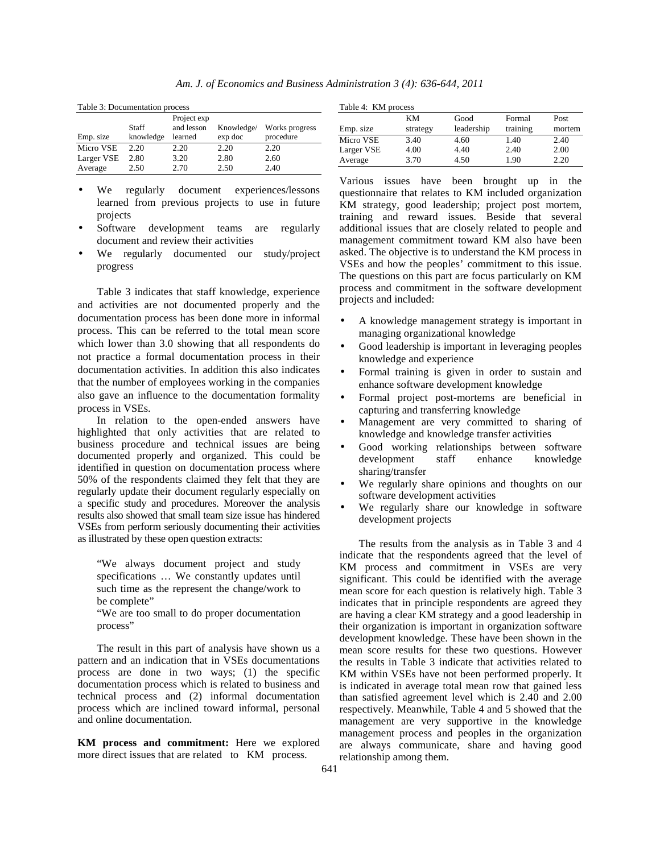|  |  |  | Am. J. of Economics and Business Administration 3 (4): 636-644, 2011 |  |  |  |
|--|--|--|----------------------------------------------------------------------|--|--|--|
|--|--|--|----------------------------------------------------------------------|--|--|--|

| Table 3: Documentation process |           |                           |            |                |  |  |
|--------------------------------|-----------|---------------------------|------------|----------------|--|--|
|                                | Staff     | Project exp<br>and lesson | Knowledge/ | Works progress |  |  |
| Emp. size                      | knowledge | learned                   | exp doc    | procedure      |  |  |
| Micro VSE                      | 2.20      | 2.20                      | 2.20       | 2.20           |  |  |
| Larger VSE                     | 2.80      | 3.20                      | 2.80       | 2.60           |  |  |
| Average                        | 2.50      | 2.70                      | 2.50       | 2.40           |  |  |

- We regularly document experiences/lessons learned from previous projects to use in future projects
- Software development teams are regularly document and review their activities
- We regularly documented our study/project progress

 Table 3 indicates that staff knowledge, experience and activities are not documented properly and the documentation process has been done more in informal process. This can be referred to the total mean score which lower than 3.0 showing that all respondents do not practice a formal documentation process in their documentation activities. In addition this also indicates that the number of employees working in the companies also gave an influence to the documentation formality process in VSEs.

 In relation to the open-ended answers have highlighted that only activities that are related to business procedure and technical issues are being documented properly and organized. This could be identified in question on documentation process where 50% of the respondents claimed they felt that they are regularly update their document regularly especially on a specific study and procedures. Moreover the analysis results also showed that small team size issue has hindered VSEs from perform seriously documenting their activities as illustrated by these open question extracts:

"We always document project and study specifications … We constantly updates until such time as the represent the change/work to be complete"

"We are too small to do proper documentation process"

 The result in this part of analysis have shown us a pattern and an indication that in VSEs documentations process are done in two ways; (1) the specific documentation process which is related to business and technical process and (2) informal documentation process which are inclined toward informal, personal and online documentation.

**KM process and commitment:** Here we explored more direct issues that are related to KM process.

Table 4: KM process

|            | KМ       | Good       | Formal   | Post   |
|------------|----------|------------|----------|--------|
| Emp. size  | strategy | leadership | training | mortem |
| Micro VSE  | 3.40     | 4.60       | 1.40     | 2.40   |
| Larger VSE | 4.00     | 4.40       | 2.40     | 2.00   |
| Average    | 3.70     | 4.50       | 1.90     | 2.20   |

Various issues have been brought up in the questionnaire that relates to KM included organization KM strategy, good leadership; project post mortem, training and reward issues. Beside that several additional issues that are closely related to people and management commitment toward KM also have been asked. The objective is to understand the KM process in VSEs and how the peoples' commitment to this issue. The questions on this part are focus particularly on KM process and commitment in the software development projects and included:

- A knowledge management strategy is important in managing organizational knowledge
- Good leadership is important in leveraging peoples knowledge and experience
- Formal training is given in order to sustain and enhance software development knowledge
- Formal project post-mortems are beneficial in capturing and transferring knowledge
- Management are very committed to sharing of knowledge and knowledge transfer activities
- Good working relationships between software development staff enhance knowledge sharing/transfer
- We regularly share opinions and thoughts on our software development activities
- We regularly share our knowledge in software development projects

 The results from the analysis as in Table 3 and 4 indicate that the respondents agreed that the level of KM process and commitment in VSEs are very significant. This could be identified with the average mean score for each question is relatively high. Table 3 indicates that in principle respondents are agreed they are having a clear KM strategy and a good leadership in their organization is important in organization software development knowledge. These have been shown in the mean score results for these two questions. However the results in Table 3 indicate that activities related to KM within VSEs have not been performed properly. It is indicated in average total mean row that gained less than satisfied agreement level which is 2.40 and 2.00 respectively. Meanwhile, Table 4 and 5 showed that the management are very supportive in the knowledge management process and peoples in the organization are always communicate, share and having good relationship among them.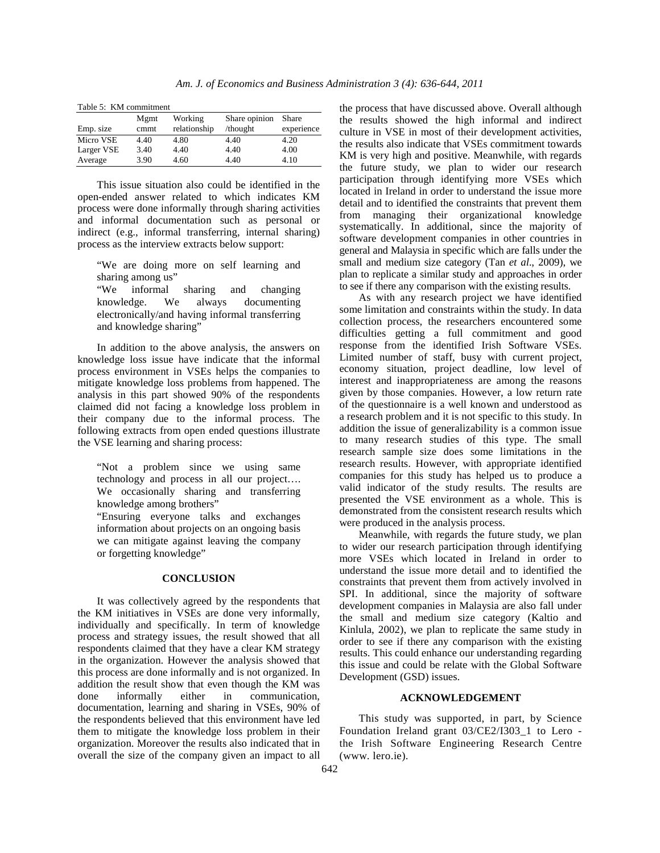| Table 5: KM commitment |      |              |               |            |  |  |
|------------------------|------|--------------|---------------|------------|--|--|
|                        | Mgmt | Working      | Share opinion | Share      |  |  |
| Emp. size              | cmmt | relationship | /thought      | experience |  |  |
| Micro VSE              | 4.40 | 4.80         | 4.40          | 4.20       |  |  |
| Larger VSE             | 3.40 | 4.40         | 4.40          | 4.00       |  |  |
| Average                | 3.90 | 4.60         | 4.40          | 4.10       |  |  |

 This issue situation also could be identified in the open-ended answer related to which indicates KM process were done informally through sharing activities and informal documentation such as personal or indirect (e.g., informal transferring, internal sharing) process as the interview extracts below support:

"We are doing more on self learning and sharing among us"<br>"We informal

informal sharing and changing knowledge. We always documenting electronically/and having informal transferring and knowledge sharing"

 In addition to the above analysis, the answers on knowledge loss issue have indicate that the informal process environment in VSEs helps the companies to mitigate knowledge loss problems from happened. The analysis in this part showed 90% of the respondents claimed did not facing a knowledge loss problem in their company due to the informal process. The following extracts from open ended questions illustrate the VSE learning and sharing process:

"Not a problem since we using same technology and process in all our project…. We occasionally sharing and transferring knowledge among brothers"

"Ensuring everyone talks and exchanges information about projects on an ongoing basis we can mitigate against leaving the company or forgetting knowledge"

### **CONCLUSION**

 It was collectively agreed by the respondents that the KM initiatives in VSEs are done very informally, individually and specifically. In term of knowledge process and strategy issues, the result showed that all respondents claimed that they have a clear KM strategy in the organization. However the analysis showed that this process are done informally and is not organized. In addition the result show that even though the KM was done informally either in communication, documentation, learning and sharing in VSEs, 90% of the respondents believed that this environment have led them to mitigate the knowledge loss problem in their organization. Moreover the results also indicated that in overall the size of the company given an impact to all

the process that have discussed above. Overall although the results showed the high informal and indirect culture in VSE in most of their development activities, the results also indicate that VSEs commitment towards KM is very high and positive. Meanwhile, with regards the future study, we plan to wider our research participation through identifying more VSEs which located in Ireland in order to understand the issue more detail and to identified the constraints that prevent them from managing their organizational knowledge systematically. In additional, since the majority of software development companies in other countries in general and Malaysia in specific which are falls under the small and medium size category (Tan *et al*., 2009), we plan to replicate a similar study and approaches in order to see if there any comparison with the existing results.

 As with any research project we have identified some limitation and constraints within the study. In data collection process, the researchers encountered some difficulties getting a full commitment and good response from the identified Irish Software VSEs. Limited number of staff, busy with current project, economy situation, project deadline, low level of interest and inappropriateness are among the reasons given by those companies. However, a low return rate of the questionnaire is a well known and understood as a research problem and it is not specific to this study. In addition the issue of generalizability is a common issue to many research studies of this type. The small research sample size does some limitations in the research results. However, with appropriate identified companies for this study has helped us to produce a valid indicator of the study results. The results are presented the VSE environment as a whole. This is demonstrated from the consistent research results which were produced in the analysis process.

 Meanwhile, with regards the future study, we plan to wider our research participation through identifying more VSEs which located in Ireland in order to understand the issue more detail and to identified the constraints that prevent them from actively involved in SPI. In additional, since the majority of software development companies in Malaysia are also fall under the small and medium size category (Kaltio and Kinlula, 2002), we plan to replicate the same study in order to see if there any comparison with the existing results. This could enhance our understanding regarding this issue and could be relate with the Global Software Development (GSD) issues.

#### **ACKNOWLEDGEMENT**

 This study was supported, in part, by Science Foundation Ireland grant 03/CE2/I303\_1 to Lero the Irish Software Engineering Research Centre (www. lero.ie).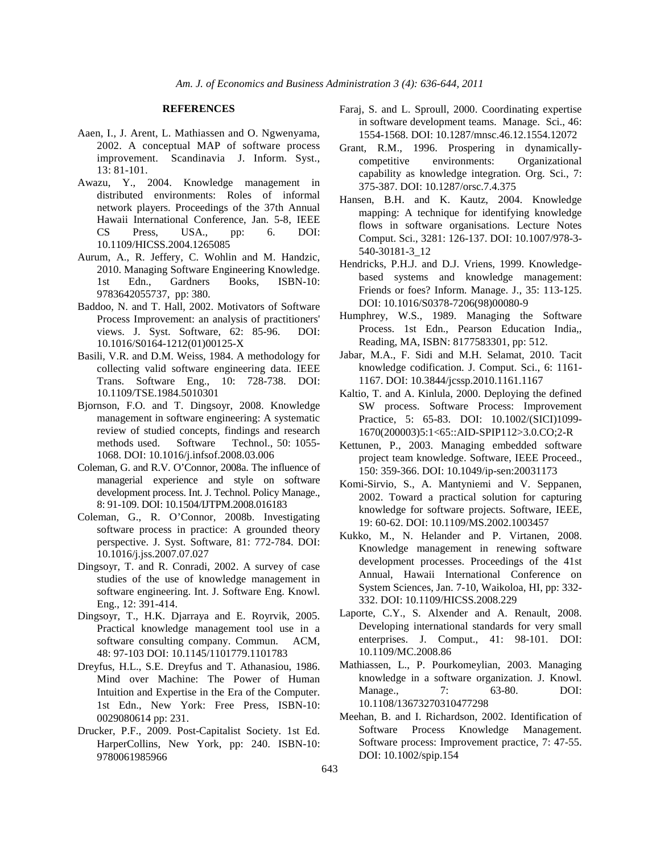#### **REFERENCES**

- Aaen, I., J. Arent, L. Mathiassen and O. Ngwenyama, 2002. A conceptual MAP of software process improvement. Scandinavia J. Inform. Syst., 13: 81-101.
- Awazu, Y., 2004. Knowledge management in distributed environments: Roles of informal network players. Proceedings of the 37th Annual Hawaii International Conference, Jan. 5-8, IEEE CS Press, USA., pp: 6. DOI: 10.1109/HICSS.2004.1265085
- Aurum, A., R. Jeffery, C. Wohlin and M. Handzic, 2010. Managing Software Engineering Knowledge. 1st Edn., Gardners Books, ISBN-10: 9783642055737, pp: 380.
- Baddoo, N. and T. Hall, 2002. Motivators of Software Process Improvement: an analysis of practitioners' views. J. Syst. Software, 62: 85-96. DOI: 10.1016/S0164-1212(01)00125-X
- Basili, V.R. and D.M. Weiss, 1984. A methodology for collecting valid software engineering data. IEEE Trans. Software Eng., 10: 728-738. DOI: 10.1109/TSE.1984.5010301
- Bjornson, F.O. and T. Dingsoyr, 2008. Knowledge management in software engineering: A systematic review of studied concepts, findings and research methods used. Software Technol., 50: 1055- 1068. DOI: 10.1016/j.infsof.2008.03.006
- Coleman, G. and R.V. O'Connor, 2008a. The influence of managerial experience and style on software development process. Int. J. Technol. Policy Manage., 8: 91-109. DOI: 10.1504/IJTPM.2008.016183
- Coleman, G., R. O'Connor, 2008b. Investigating software process in practice: A grounded theory perspective. J. Syst. Software, 81: 772-784. DOI: 10.1016/j.jss.2007.07.027
- Dingsoyr, T. and R. Conradi, 2002. A survey of case studies of the use of knowledge management in software engineering. Int. J. Software Eng. Knowl. Eng., 12: 391-414.
- Dingsoyr, T., H.K. Djarraya and E. Royrvik, 2005. Practical knowledge management tool use in a software consulting company. Commun. ACM, 48: 97-103 DOI: 10.1145/1101779.1101783
- Dreyfus, H.L., S.E. Dreyfus and T. Athanasiou, 1986. Mind over Machine: The Power of Human Intuition and Expertise in the Era of the Computer. 1st Edn., New York: Free Press, ISBN-10: 0029080614 pp: 231.
- Drucker, P.F., 2009. Post-Capitalist Society. 1st Ed. HarperCollins, New York, pp: 240. ISBN-10: 9780061985966
- Faraj, S. and L. Sproull, 2000. Coordinating expertise in software development teams. Manage. Sci., 46: 1554-1568. DOI: 10.1287/mnsc.46.12.1554.12072
- Grant, R.M., 1996. Prospering in dynamicallycompetitive environments: Organizational capability as knowledge integration. Org. Sci., 7: 375-387. DOI: 10.1287/orsc.7.4.375
- Hansen, B.H. and K. Kautz, 2004. Knowledge mapping: A technique for identifying knowledge flows in software organisations. Lecture Notes Comput. Sci., 3281: 126-137. DOI: 10.1007/978-3- 540-30181-3\_12
- Hendricks, P.H.J. and D.J. Vriens, 1999. Knowledgebased systems and knowledge management: Friends or foes? Inform. Manage. J., 35: 113-125. DOI: 10.1016/S0378-7206(98)00080-9
- Humphrey, W.S., 1989. Managing the Software Process. 1st Edn., Pearson Education India,, Reading, MA, ISBN: 8177583301, pp: 512.
- Jabar, M.A., F. Sidi and M.H. Selamat, 2010. Tacit knowledge codification. J. Comput. Sci., 6: 1161- 1167. DOI: 10.3844/jcssp.2010.1161.1167
- Kaltio, T. and A. Kinlula, 2000. Deploying the defined SW process. Software Process: Improvement Practice, 5: 65-83. DOI: 10.1002/(SICI)1099- 1670(200003)5:1<65::AID-SPIP112>3.0.CO;2-R
- Kettunen, P., 2003. Managing embedded software project team knowledge. Software, IEEE Proceed., 150: 359-366. DOI: 10.1049/ip-sen:20031173
- Komi-Sirvio, S., A. Mantyniemi and V. Seppanen, 2002. Toward a practical solution for capturing knowledge for software projects. Software, IEEE, 19: 60-62. DOI: 10.1109/MS.2002.1003457
- Kukko, M., N. Helander and P. Virtanen, 2008. Knowledge management in renewing software development processes. Proceedings of the 41st Annual, Hawaii International Conference on System Sciences, Jan. 7-10, Waikoloa, HI, pp: 332- 332. DOI: 10.1109/HICSS.2008.229
- Laporte, C.Y., S. Alxender and A. Renault, 2008. Developing international standards for very small enterprises. J. Comput., 41: 98-101. DOI: 10.1109/MC.2008.86
- Mathiassen, L., P. Pourkomeylian, 2003. Managing knowledge in a software organization. J. Knowl. Manage., 7: 63-80. DOI: 10.1108/13673270310477298
- Meehan, B. and I. Richardson, 2002. Identification of Software Process Knowledge Management. Software process: Improvement practice, 7: 47-55. DOI: 10.1002/spip.154